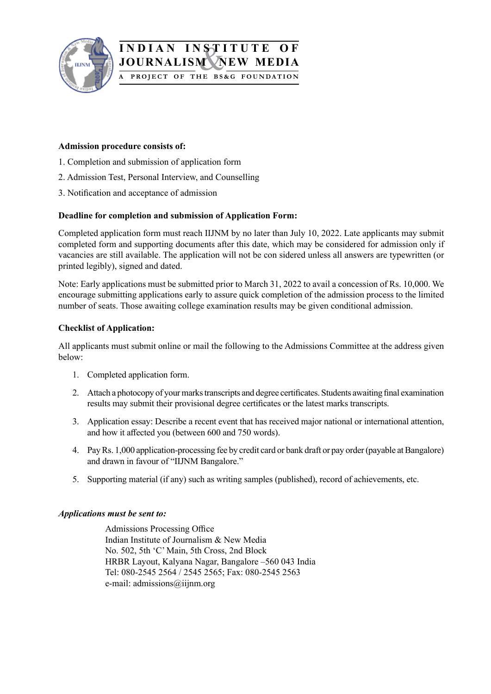

## & **INDIAN INSTITUTE OF JOURNALISM A Project of the BS&G F ounda tion**

#### **Admission procedure consists of:**

- 1. Completion and submission of application form
- 2. Admission Test, Personal Interview, and Counselling
- 3. Notification and acceptance of admission

#### **Deadline for completion and submission of Application Form:**

Completed application form must reach IIJNM by no later than July 10, 2022. Late applicants may submit completed form and supporting documents after this date, which may be considered for admission only if vacancies are still available. The application will not be con sidered unless all answers are typewritten (or printed legibly), signed and dated.

Note: Early applications must be submitted prior to March 31, 2022 to avail a concession of Rs. 10,000. We encourage submitting applications early to assure quick completion of the admission process to the limited number of seats. Those awaiting college examination results may be given conditional admission.

#### **Checklist of Application:**

All applicants must submit online or mail the following to the Admissions Committee at the address given below:

- 1. Completed application form.
- 2. Attach a photocopy of your marks transcripts and degree certificates. Students awaiting final examination results may submit their provisional degree certificates or the latest marks transcripts.
- 3. Application essay: Describe a recent event that has received major national or international attention, and how it affected you (between 600 and 750 words).
- 4. Pay Rs. 1,000 application-processing fee by credit card or bank draft or pay order (payable at Bangalore) and drawn in favour of "IIJNM Bangalore."
- 5. Supporting material (if any) such as writing samples (published), record of achievements, etc.

#### *Applications must be sent to:*

Admissions Processing Office Indian Institute of Journalism & New Media No. 502, 5th 'C' Main, 5th Cross, 2nd Block HRBR Layout, Kalyana Nagar, Bangalore –560 043 India Tel: 080-2545 2564 / 2545 2565; Fax: 080-2545 2563 e-mail: admissions@iijnm.org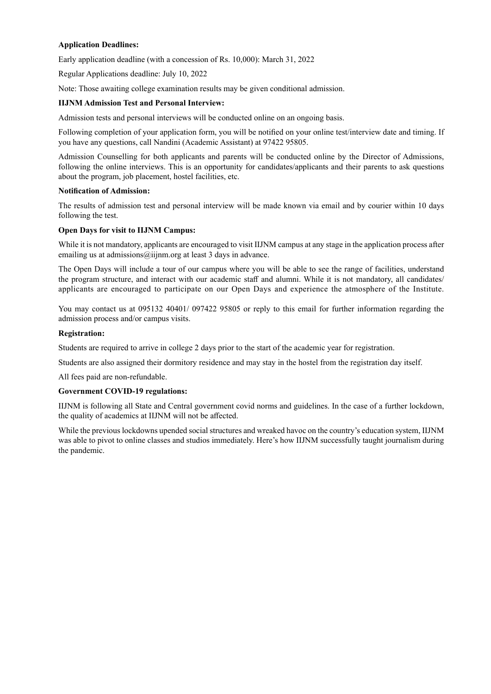#### **Application Deadlines:**

Early application deadline (with a concession of Rs. 10,000): March 31, 2022

Regular Applications deadline: July 10, 2022

Note: Those awaiting college examination results may be given conditional admission.

#### **IIJNM Admission Test and Personal Interview:**

Admission tests and personal interviews will be conducted online on an ongoing basis.

Following completion of your application form, you will be notified on your online test/interview date and timing. If you have any questions, call Nandini (Academic Assistant) at 97422 95805.

Admission Counselling for both applicants and parents will be conducted online by the Director of Admissions, following the online interviews. This is an opportunity for candidates/applicants and their parents to ask questions about the program, job placement, hostel facilities, etc.

#### **Notification of Admission:**

The results of admission test and personal interview will be made known via email and by courier within 10 days following the test.

#### **Open Days for visit to IIJNM Campus:**

While it is not mandatory, applicants are encouraged to visit IIJNM campus at any stage in the application process after emailing us at admissions@iijnm.org at least 3 days in advance.

The Open Days will include a tour of our campus where you will be able to see the range of facilities, understand the program structure, and interact with our academic staff and alumni. While it is not mandatory, all candidates/ applicants are encouraged to participate on our Open Days and experience the atmosphere of the Institute.

You may contact us at 095132 40401/ 097422 95805 or reply to this email for further information regarding the admission process and/or campus visits.

#### **Registration:**

Students are required to arrive in college 2 days prior to the start of the academic year for registration.

Students are also assigned their dormitory residence and may stay in the hostel from the registration day itself.

All fees paid are non-refundable.

#### **Government COVID-19 regulations:**

IIJNM is following all State and Central government covid norms and guidelines. In the case of a further lockdown, the quality of academics at IIJNM will not be affected.

While the previous lockdowns upended social structures and wreaked havoc on the country's education system, IIJNM was able to pivot to online classes and studios immediately. Here's how IIJNM successfully taught journalism during the pandemic.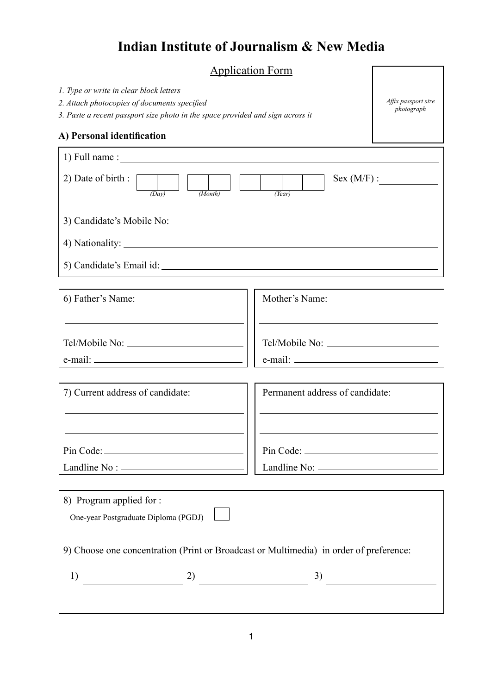# **Indian Institute of Journalism & New Media**

# Application Form

*Affix passport size photograph*

|  |  |  |  |  | 1. Type or write in clear block letters |  |
|--|--|--|--|--|-----------------------------------------|--|
|--|--|--|--|--|-----------------------------------------|--|

*2. Attach photocopies of documents specified*

*3. Paste a recent passport size photo in the space provided and sign across it*

### **A) Personal identification**

| $1)$ Full name : $\frac{1}{1}$                                                                                                         |                                 |  |  |  |  |
|----------------------------------------------------------------------------------------------------------------------------------------|---------------------------------|--|--|--|--|
| 2) Date of birth :<br>Sex (M/F):<br>$\begin{array}{c c} \hline \text{(Day)} \end{array}$<br>$\frac{1}{(Month)}$<br>$\overline{(Year)}$ |                                 |  |  |  |  |
|                                                                                                                                        |                                 |  |  |  |  |
|                                                                                                                                        |                                 |  |  |  |  |
|                                                                                                                                        |                                 |  |  |  |  |
|                                                                                                                                        |                                 |  |  |  |  |
| 6) Father's Name:                                                                                                                      | Mother's Name:                  |  |  |  |  |
|                                                                                                                                        |                                 |  |  |  |  |
|                                                                                                                                        |                                 |  |  |  |  |
|                                                                                                                                        |                                 |  |  |  |  |
|                                                                                                                                        |                                 |  |  |  |  |
| 7) Current address of candidate:                                                                                                       | Permanent address of candidate: |  |  |  |  |
|                                                                                                                                        |                                 |  |  |  |  |
|                                                                                                                                        |                                 |  |  |  |  |
|                                                                                                                                        |                                 |  |  |  |  |
|                                                                                                                                        |                                 |  |  |  |  |
| 8) Program applied for :                                                                                                               |                                 |  |  |  |  |
| One-year Postgraduate Diploma (PGDJ)                                                                                                   |                                 |  |  |  |  |
| 9) Choose one concentration (Print or Broadcast or Multimedia) in order of preference:                                                 |                                 |  |  |  |  |
| 1)                                                                                                                                     |                                 |  |  |  |  |
|                                                                                                                                        |                                 |  |  |  |  |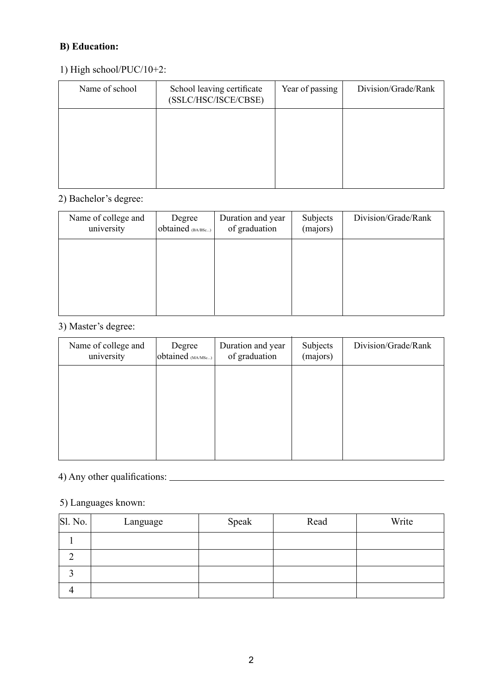## **B) Education:**

### 1) High school/PUC/10+2:

| Name of school | School leaving certificate<br>(SSLC/HSC/ISCE/CBSE) | Year of passing | Division/Grade/Rank |
|----------------|----------------------------------------------------|-----------------|---------------------|
|                |                                                    |                 |                     |
|                |                                                    |                 |                     |
|                |                                                    |                 |                     |

## 2) Bachelor's degree:

| Name of college and<br>university | Degree<br>obtained (BA/BSc) | Duration and year<br>of graduation | Subjects<br>(majors) | Division/Grade/Rank |
|-----------------------------------|-----------------------------|------------------------------------|----------------------|---------------------|
|                                   |                             |                                    |                      |                     |
|                                   |                             |                                    |                      |                     |
|                                   |                             |                                    |                      |                     |

## 3) Master's degree:

| Name of college and<br>university | Degree<br>obtained (MA/MSc) | Duration and year<br>of graduation | Subjects<br>(majors) | Division/Grade/Rank |
|-----------------------------------|-----------------------------|------------------------------------|----------------------|---------------------|
|                                   |                             |                                    |                      |                     |
|                                   |                             |                                    |                      |                     |
|                                   |                             |                                    |                      |                     |
|                                   |                             |                                    |                      |                     |

# 4) Any other qualifications:

## 5) Languages known:

| SI. No. | Language | Speak | Read | Write |
|---------|----------|-------|------|-------|
|         |          |       |      |       |
|         |          |       |      |       |
|         |          |       |      |       |
|         |          |       |      |       |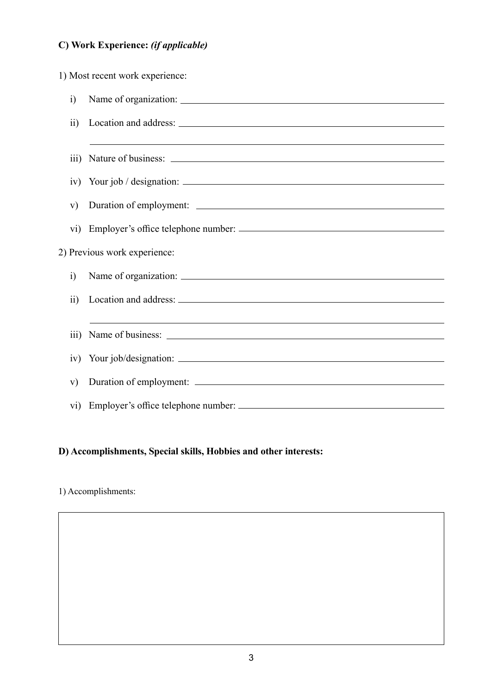# **C) Work Experience:** *(if applicable)*

1) Most recent work experience:

| $\ddot{i}$       |                                                                                  |
|------------------|----------------------------------------------------------------------------------|
| $\ddot{i}$       |                                                                                  |
|                  |                                                                                  |
| $\overline{111}$ |                                                                                  |
|                  | $iv)$ Your job / designation: $\frac{1}{2}$                                      |
| V)               |                                                                                  |
|                  | vi) Employer's office telephone number:                                          |
|                  | 2) Previous work experience:                                                     |
| $\ddot{1}$       |                                                                                  |
| $\overline{11}$  |                                                                                  |
|                  | ,我们也不会有什么。""我们的人,我们也不会有什么?""我们的人,我们也不会有什么?""我们的人,我们也不会有什么?""我们的人,我们也不会有什么?""我们的人 |
| $\overline{111}$ |                                                                                  |
| iv)              |                                                                                  |
| V)               |                                                                                  |
|                  |                                                                                  |

## **D) Accomplishments, Special skills, Hobbies and other interests:**

#### 1) Accomplishments: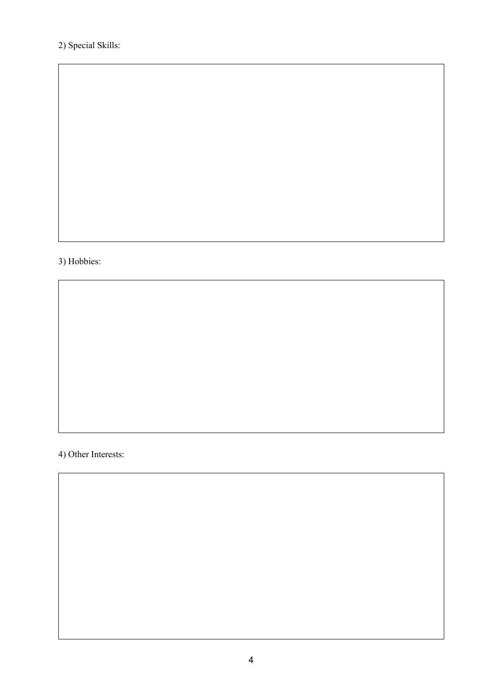## 2) Special Skills:

#### 3) Hobbies:

4) Other Interests: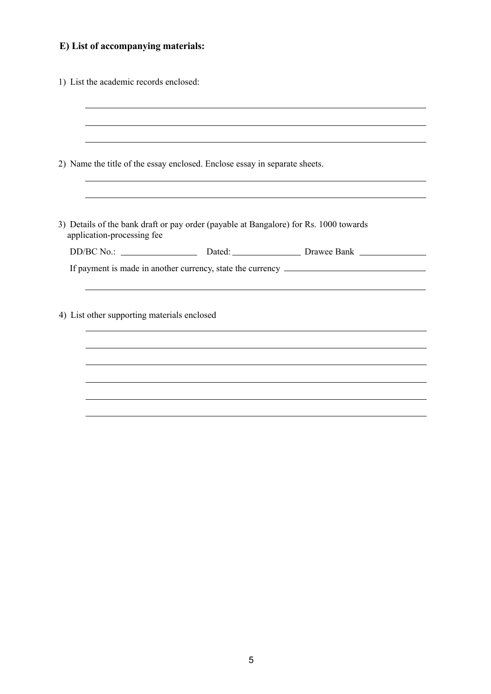# **E) List of accompanying materials:**

| 1) List the academic records enclosed:      |                                                                            |                                                                                       |  |
|---------------------------------------------|----------------------------------------------------------------------------|---------------------------------------------------------------------------------------|--|
|                                             |                                                                            |                                                                                       |  |
|                                             |                                                                            |                                                                                       |  |
|                                             | 2) Name the title of the essay enclosed. Enclose essay in separate sheets. |                                                                                       |  |
|                                             |                                                                            |                                                                                       |  |
| application-processing fee                  |                                                                            | 3) Details of the bank draft or pay order (payable at Bangalore) for Rs. 1000 towards |  |
|                                             |                                                                            |                                                                                       |  |
|                                             |                                                                            | If payment is made in another currency, state the currency ______________________     |  |
|                                             |                                                                            |                                                                                       |  |
| 4) List other supporting materials enclosed |                                                                            |                                                                                       |  |
|                                             |                                                                            |                                                                                       |  |
|                                             |                                                                            |                                                                                       |  |
|                                             |                                                                            |                                                                                       |  |
|                                             |                                                                            |                                                                                       |  |
|                                             |                                                                            |                                                                                       |  |